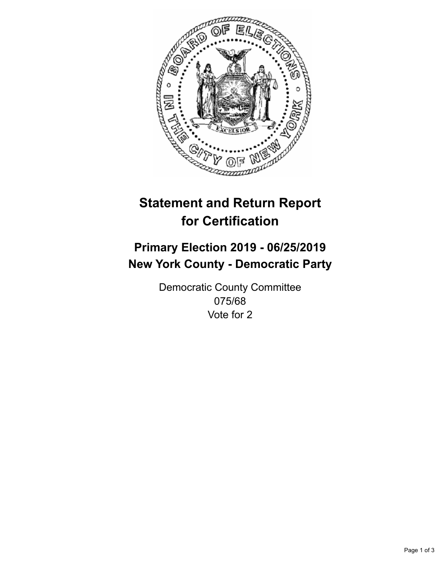

## **Statement and Return Report for Certification**

## **Primary Election 2019 - 06/25/2019 New York County - Democratic Party**

Democratic County Committee 075/68 Vote for 2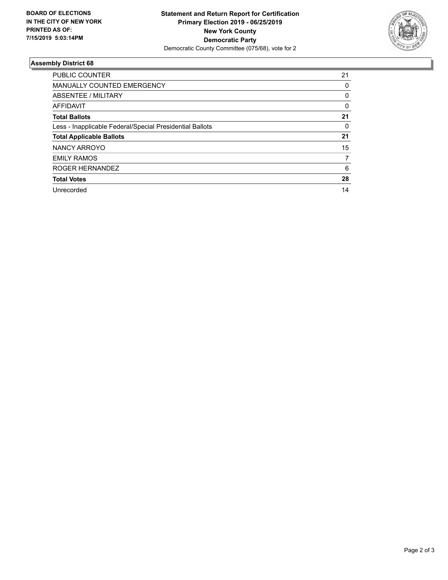

## **Assembly District 68**

| <b>PUBLIC COUNTER</b>                                    | 21 |
|----------------------------------------------------------|----|
| <b>MANUALLY COUNTED EMERGENCY</b>                        | 0  |
| ABSENTEE / MILITARY                                      | 0  |
| AFFIDAVIT                                                | 0  |
| <b>Total Ballots</b>                                     | 21 |
| Less - Inapplicable Federal/Special Presidential Ballots | 0  |
| <b>Total Applicable Ballots</b>                          | 21 |
| NANCY ARROYO                                             | 15 |
| <b>EMILY RAMOS</b>                                       | 7  |
| ROGER HERNANDEZ                                          | 6  |
| <b>Total Votes</b>                                       | 28 |
| Unrecorded                                               | 14 |